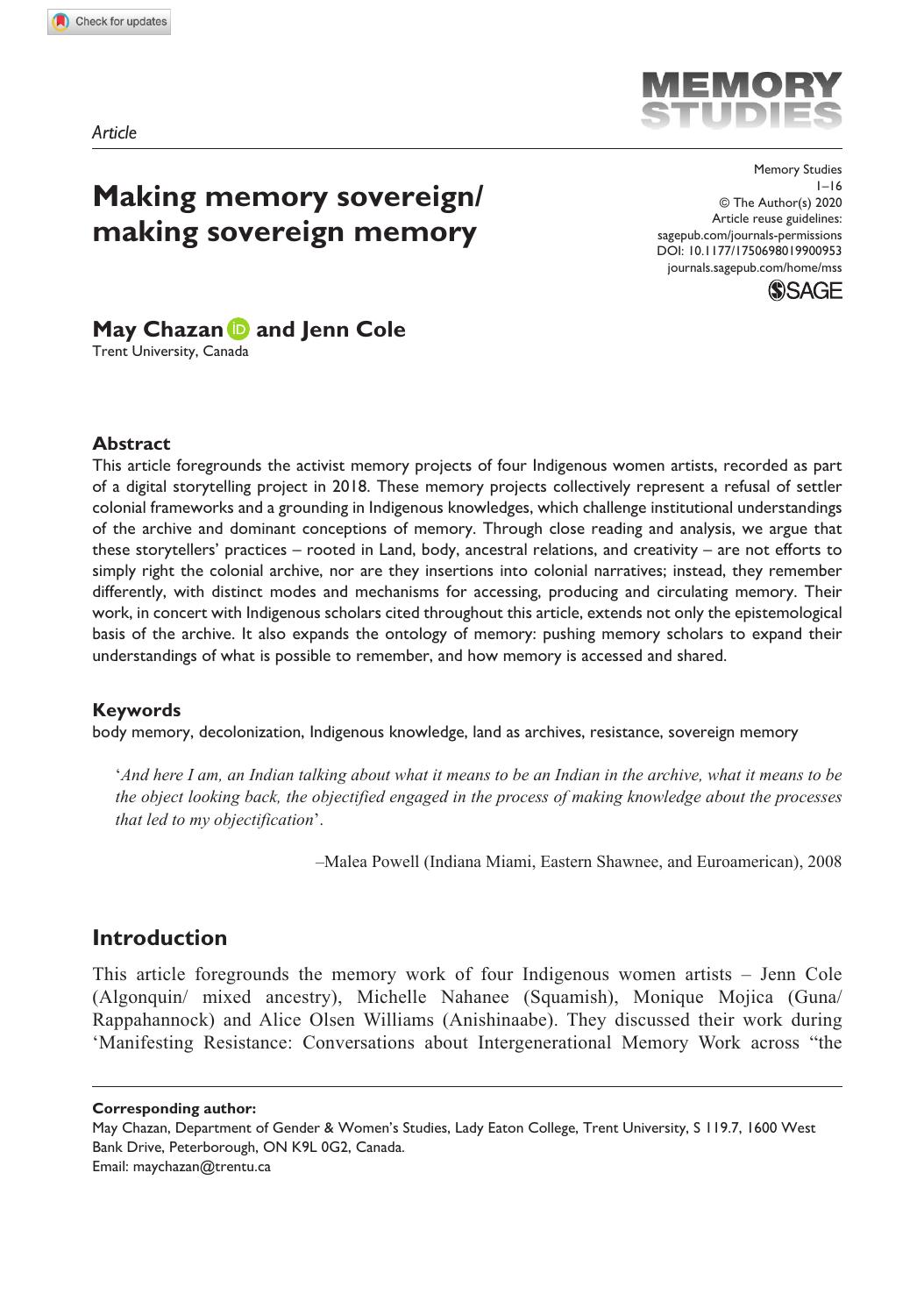*Article*

# **Making memory sovereign/ making sovereign memory**

DOI: 10.1177/1750698019900953 Memory Studies  $1 - 16$ © The Author(s) 2020 Article reuse guidelines: [sagepub.com/journals-permissions](https://uk.sagepub.com/en-gb/journals-permissions) [journals.sagepub.com/home/mss](https://journals.sagepub.com/home/mss)



# **May Chazan and Jenn Cole**

Trent University, Canada

#### **Abstract**

This article foregrounds the activist memory projects of four Indigenous women artists, recorded as part of a digital storytelling project in 2018. These memory projects collectively represent a refusal of settler colonial frameworks and a grounding in Indigenous knowledges, which challenge institutional understandings of the archive and dominant conceptions of memory. Through close reading and analysis, we argue that these storytellers' practices – rooted in Land, body, ancestral relations, and creativity – are not efforts to simply right the colonial archive, nor are they insertions into colonial narratives; instead, they remember differently, with distinct modes and mechanisms for accessing, producing and circulating memory. Their work, in concert with Indigenous scholars cited throughout this article, extends not only the epistemological basis of the archive. It also expands the ontology of memory: pushing memory scholars to expand their understandings of what is possible to remember, and how memory is accessed and shared.

#### **Keywords**

body memory, decolonization, Indigenous knowledge, land as archives, resistance, sovereign memory

'*And here I am, an Indian talking about what it means to be an Indian in the archive, what it means to be the object looking back, the objectified engaged in the process of making knowledge about the processes that led to my objectification*'.

–Malea Powell (Indiana Miami, Eastern Shawnee, and Euroamerican), 2008

# **Introduction**

This article foregrounds the memory work of four Indigenous women artists – Jenn Cole (Algonquin/ mixed ancestry), Michelle Nahanee (Squamish), Monique Mojica (Guna/ Rappahannock) and Alice Olsen Williams (Anishinaabe). They discussed their work during 'Manifesting Resistance: Conversations about Intergenerational Memory Work across "the

**Corresponding author:**



May Chazan, Department of Gender & Women's Studies, Lady Eaton College, Trent University, S 119.7, 1600 West Bank Drive, Peterborough, ON K9L 0G2, Canada. Email: [maychazan@trentu.ca](mailto:maychazan@trentu.ca)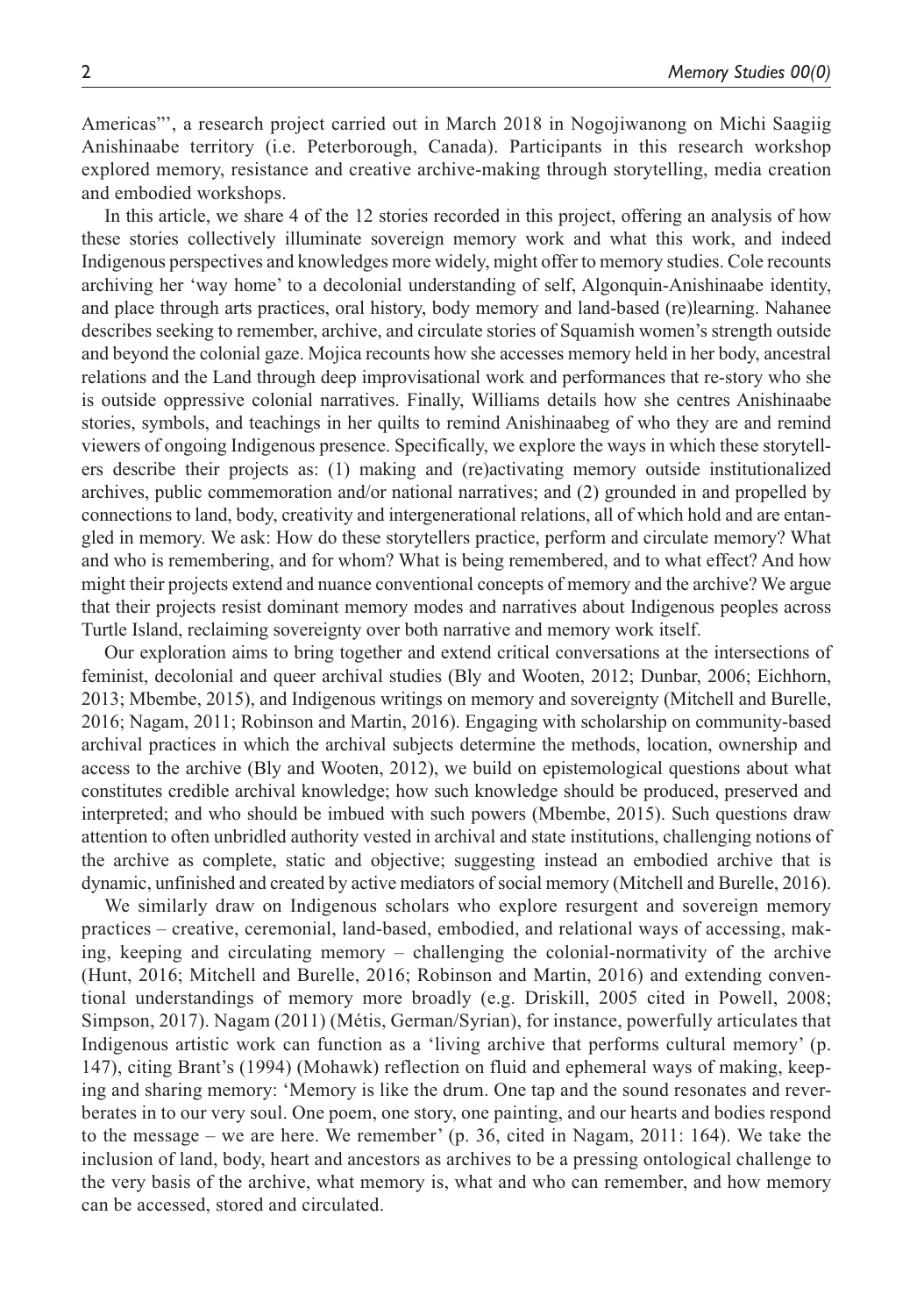Americas"', a research project carried out in March 2018 in Nogojiwanong on Michi Saagiig Anishinaabe territory (i.e. Peterborough, Canada). Participants in this research workshop explored memory, resistance and creative archive-making through storytelling, media creation and embodied workshops.

In this article, we share 4 of the 12 stories recorded in this project, offering an analysis of how these stories collectively illuminate sovereign memory work and what this work, and indeed Indigenous perspectives and knowledges more widely, might offer to memory studies. Cole recounts archiving her 'way home' to a decolonial understanding of self, Algonquin-Anishinaabe identity, and place through arts practices, oral history, body memory and land-based (re)learning. Nahanee describes seeking to remember, archive, and circulate stories of Squamish women's strength outside and beyond the colonial gaze. Mojica recounts how she accesses memory held in her body, ancestral relations and the Land through deep improvisational work and performances that re-story who she is outside oppressive colonial narratives. Finally, Williams details how she centres Anishinaabe stories, symbols, and teachings in her quilts to remind Anishinaabeg of who they are and remind viewers of ongoing Indigenous presence. Specifically, we explore the ways in which these storytellers describe their projects as: (1) making and (re)activating memory outside institutionalized archives, public commemoration and/or national narratives; and (2) grounded in and propelled by connections to land, body, creativity and intergenerational relations, all of which hold and are entangled in memory. We ask: How do these storytellers practice, perform and circulate memory? What and who is remembering, and for whom? What is being remembered, and to what effect? And how might their projects extend and nuance conventional concepts of memory and the archive? We argue that their projects resist dominant memory modes and narratives about Indigenous peoples across Turtle Island, reclaiming sovereignty over both narrative and memory work itself.

Our exploration aims to bring together and extend critical conversations at the intersections of feminist, decolonial and queer archival studies (Bly and Wooten, 2012; Dunbar, 2006; Eichhorn, 2013; Mbembe, 2015), and Indigenous writings on memory and sovereignty (Mitchell and Burelle, 2016; Nagam, 2011; Robinson and Martin, 2016). Engaging with scholarship on community-based archival practices in which the archival subjects determine the methods, location, ownership and access to the archive (Bly and Wooten, 2012), we build on epistemological questions about what constitutes credible archival knowledge; how such knowledge should be produced, preserved and interpreted; and who should be imbued with such powers (Mbembe, 2015). Such questions draw attention to often unbridled authority vested in archival and state institutions, challenging notions of the archive as complete, static and objective; suggesting instead an embodied archive that is dynamic, unfinished and created by active mediators of social memory (Mitchell and Burelle, 2016).

We similarly draw on Indigenous scholars who explore resurgent and sovereign memory practices – creative, ceremonial, land-based, embodied, and relational ways of accessing, making, keeping and circulating memory – challenging the colonial-normativity of the archive (Hunt, 2016; Mitchell and Burelle, 2016; Robinson and Martin, 2016) and extending conventional understandings of memory more broadly (e.g. Driskill, 2005 cited in Powell, 2008; Simpson, 2017). Nagam (2011) (Métis, German/Syrian), for instance, powerfully articulates that Indigenous artistic work can function as a 'living archive that performs cultural memory' (p. 147), citing Brant's (1994) (Mohawk) reflection on fluid and ephemeral ways of making, keeping and sharing memory: 'Memory is like the drum. One tap and the sound resonates and reverberates in to our very soul. One poem, one story, one painting, and our hearts and bodies respond to the message – we are here. We remember' (p. 36, cited in Nagam, 2011: 164). We take the inclusion of land, body, heart and ancestors as archives to be a pressing ontological challenge to the very basis of the archive, what memory is, what and who can remember, and how memory can be accessed, stored and circulated.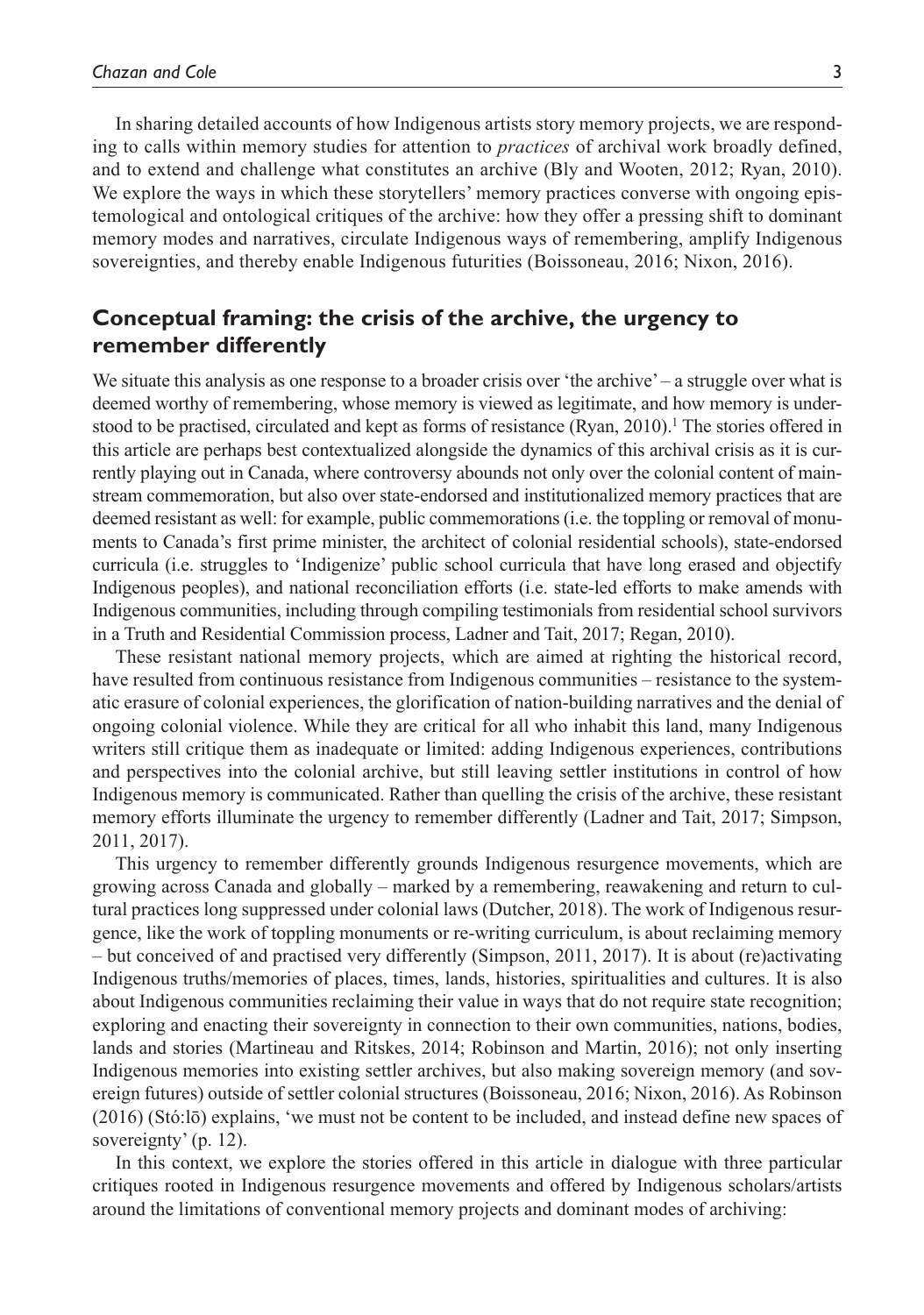In sharing detailed accounts of how Indigenous artists story memory projects, we are responding to calls within memory studies for attention to *practices* of archival work broadly defined, and to extend and challenge what constitutes an archive (Bly and Wooten, 2012; Ryan, 2010). We explore the ways in which these storytellers' memory practices converse with ongoing epistemological and ontological critiques of the archive: how they offer a pressing shift to dominant memory modes and narratives, circulate Indigenous ways of remembering, amplify Indigenous sovereignties, and thereby enable Indigenous futurities (Boissoneau, 2016; Nixon, 2016).

## **Conceptual framing: the crisis of the archive, the urgency to remember differently**

We situate this analysis as one response to a broader crisis over 'the archive' – a struggle over what is deemed worthy of remembering, whose memory is viewed as legitimate, and how memory is understood to be practised, circulated and kept as forms of resistance  $(Ryan, 2010)$ .<sup>1</sup> The stories offered in this article are perhaps best contextualized alongside the dynamics of this archival crisis as it is currently playing out in Canada, where controversy abounds not only over the colonial content of mainstream commemoration, but also over state-endorsed and institutionalized memory practices that are deemed resistant as well: for example, public commemorations (i.e. the toppling or removal of monuments to Canada's first prime minister, the architect of colonial residential schools), state-endorsed curricula (i.e. struggles to 'Indigenize' public school curricula that have long erased and objectify Indigenous peoples), and national reconciliation efforts (i.e. state-led efforts to make amends with Indigenous communities, including through compiling testimonials from residential school survivors in a Truth and Residential Commission process, Ladner and Tait, 2017; Regan, 2010).

These resistant national memory projects, which are aimed at righting the historical record, have resulted from continuous resistance from Indigenous communities – resistance to the systematic erasure of colonial experiences, the glorification of nation-building narratives and the denial of ongoing colonial violence. While they are critical for all who inhabit this land, many Indigenous writers still critique them as inadequate or limited: adding Indigenous experiences, contributions and perspectives into the colonial archive, but still leaving settler institutions in control of how Indigenous memory is communicated. Rather than quelling the crisis of the archive, these resistant memory efforts illuminate the urgency to remember differently (Ladner and Tait, 2017; Simpson, 2011, 2017).

This urgency to remember differently grounds Indigenous resurgence movements, which are growing across Canada and globally – marked by a remembering, reawakening and return to cultural practices long suppressed under colonial laws (Dutcher, 2018). The work of Indigenous resurgence, like the work of toppling monuments or re-writing curriculum, is about reclaiming memory – but conceived of and practised very differently (Simpson, 2011, 2017). It is about (re)activating Indigenous truths/memories of places, times, lands, histories, spiritualities and cultures. It is also about Indigenous communities reclaiming their value in ways that do not require state recognition; exploring and enacting their sovereignty in connection to their own communities, nations, bodies, lands and stories (Martineau and Ritskes, 2014; Robinson and Martin, 2016); not only inserting Indigenous memories into existing settler archives, but also making sovereign memory (and sovereign futures) outside of settler colonial structures (Boissoneau, 2016; Nixon, 2016). As Robinson (2016) (Stó:lō) explains, 'we must not be content to be included, and instead define new spaces of sovereignty' (p. 12).

In this context, we explore the stories offered in this article in dialogue with three particular critiques rooted in Indigenous resurgence movements and offered by Indigenous scholars/artists around the limitations of conventional memory projects and dominant modes of archiving: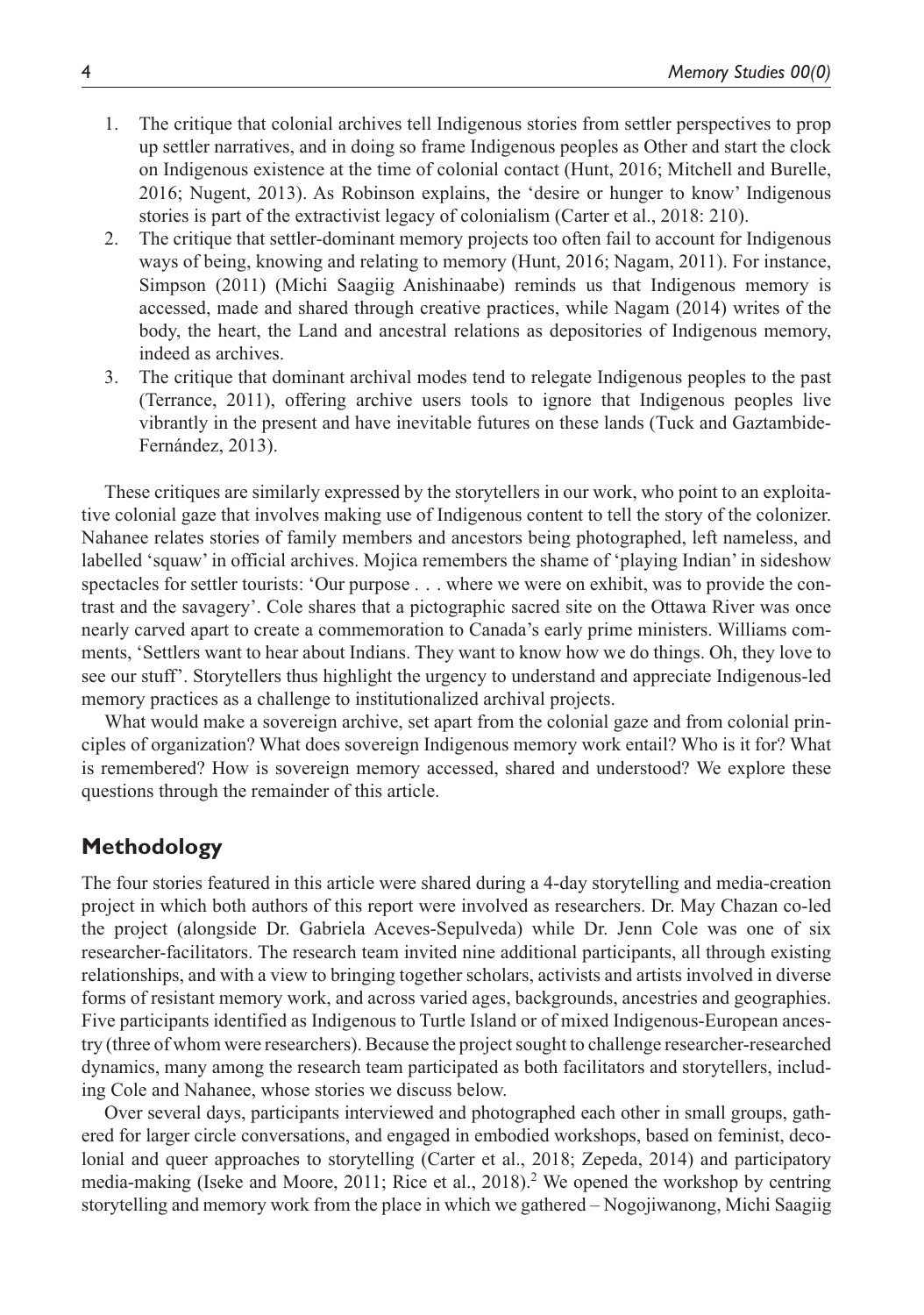- 1. The critique that colonial archives tell Indigenous stories from settler perspectives to prop up settler narratives, and in doing so frame Indigenous peoples as Other and start the clock on Indigenous existence at the time of colonial contact (Hunt, 2016; Mitchell and Burelle, 2016; Nugent, 2013). As Robinson explains, the 'desire or hunger to know' Indigenous stories is part of the extractivist legacy of colonialism (Carter et al., 2018: 210).
- 2. The critique that settler-dominant memory projects too often fail to account for Indigenous ways of being, knowing and relating to memory (Hunt, 2016; Nagam, 2011). For instance, Simpson (2011) (Michi Saagiig Anishinaabe) reminds us that Indigenous memory is accessed, made and shared through creative practices, while Nagam (2014) writes of the body, the heart, the Land and ancestral relations as depositories of Indigenous memory, indeed as archives.
- 3. The critique that dominant archival modes tend to relegate Indigenous peoples to the past (Terrance, 2011), offering archive users tools to ignore that Indigenous peoples live vibrantly in the present and have inevitable futures on these lands (Tuck and Gaztambide-Fernández, 2013).

These critiques are similarly expressed by the storytellers in our work, who point to an exploitative colonial gaze that involves making use of Indigenous content to tell the story of the colonizer. Nahanee relates stories of family members and ancestors being photographed, left nameless, and labelled 'squaw' in official archives. Mojica remembers the shame of 'playing Indian' in sideshow spectacles for settler tourists: 'Our purpose . . . where we were on exhibit, was to provide the contrast and the savagery'. Cole shares that a pictographic sacred site on the Ottawa River was once nearly carved apart to create a commemoration to Canada's early prime ministers. Williams comments, 'Settlers want to hear about Indians. They want to know how we do things. Oh, they love to see our stuff'. Storytellers thus highlight the urgency to understand and appreciate Indigenous-led memory practices as a challenge to institutionalized archival projects.

What would make a sovereign archive, set apart from the colonial gaze and from colonial principles of organization? What does sovereign Indigenous memory work entail? Who is it for? What is remembered? How is sovereign memory accessed, shared and understood? We explore these questions through the remainder of this article.

### **Methodology**

The four stories featured in this article were shared during a 4-day storytelling and media-creation project in which both authors of this report were involved as researchers. Dr. May Chazan co-led the project (alongside Dr. Gabriela Aceves-Sepulveda) while Dr. Jenn Cole was one of six researcher-facilitators. The research team invited nine additional participants, all through existing relationships, and with a view to bringing together scholars, activists and artists involved in diverse forms of resistant memory work, and across varied ages, backgrounds, ancestries and geographies. Five participants identified as Indigenous to Turtle Island or of mixed Indigenous-European ancestry (three of whom were researchers). Because the project sought to challenge researcher-researched dynamics, many among the research team participated as both facilitators and storytellers, including Cole and Nahanee, whose stories we discuss below.

Over several days, participants interviewed and photographed each other in small groups, gathered for larger circle conversations, and engaged in embodied workshops, based on feminist, decolonial and queer approaches to storytelling (Carter et al., 2018; Zepeda, 2014) and participatory media-making (Iseke and Moore, 2011; Rice et al., 2018).<sup>2</sup> We opened the workshop by centring storytelling and memory work from the place in which we gathered – Nogojiwanong, Michi Saagiig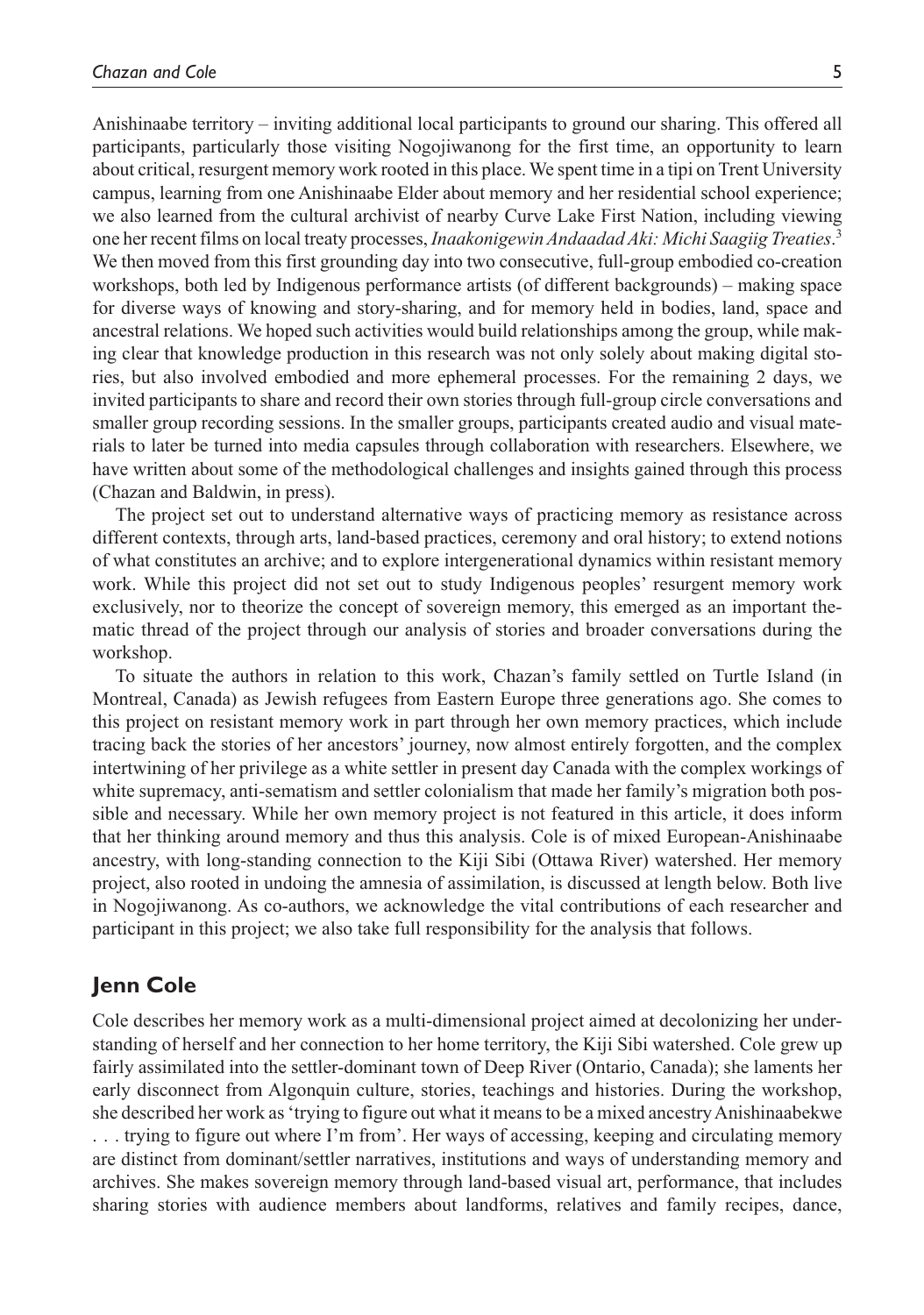Anishinaabe territory – inviting additional local participants to ground our sharing. This offered all participants, particularly those visiting Nogojiwanong for the first time, an opportunity to learn about critical, resurgent memory work rooted in this place. We spent time in a tipi on Trent University campus, learning from one Anishinaabe Elder about memory and her residential school experience; we also learned from the cultural archivist of nearby Curve Lake First Nation, including viewing one her recent films on local treaty processes, *Inaakonigewin Andaadad Aki: Michi Saagiig Treaties*. 3 We then moved from this first grounding day into two consecutive, full-group embodied co-creation workshops, both led by Indigenous performance artists (of different backgrounds) – making space for diverse ways of knowing and story-sharing, and for memory held in bodies, land, space and ancestral relations. We hoped such activities would build relationships among the group, while making clear that knowledge production in this research was not only solely about making digital stories, but also involved embodied and more ephemeral processes. For the remaining 2 days, we invited participants to share and record their own stories through full-group circle conversations and smaller group recording sessions. In the smaller groups, participants created audio and visual materials to later be turned into media capsules through collaboration with researchers. Elsewhere, we have written about some of the methodological challenges and insights gained through this process (Chazan and Baldwin, in press).

The project set out to understand alternative ways of practicing memory as resistance across different contexts, through arts, land-based practices, ceremony and oral history; to extend notions of what constitutes an archive; and to explore intergenerational dynamics within resistant memory work. While this project did not set out to study Indigenous peoples' resurgent memory work exclusively, nor to theorize the concept of sovereign memory, this emerged as an important thematic thread of the project through our analysis of stories and broader conversations during the workshop.

To situate the authors in relation to this work, Chazan's family settled on Turtle Island (in Montreal, Canada) as Jewish refugees from Eastern Europe three generations ago. She comes to this project on resistant memory work in part through her own memory practices, which include tracing back the stories of her ancestors' journey, now almost entirely forgotten, and the complex intertwining of her privilege as a white settler in present day Canada with the complex workings of white supremacy, anti-sematism and settler colonialism that made her family's migration both possible and necessary. While her own memory project is not featured in this article, it does inform that her thinking around memory and thus this analysis. Cole is of mixed European-Anishinaabe ancestry, with long-standing connection to the Kiji Sibi (Ottawa River) watershed. Her memory project, also rooted in undoing the amnesia of assimilation, is discussed at length below. Both live in Nogojiwanong. As co-authors, we acknowledge the vital contributions of each researcher and participant in this project; we also take full responsibility for the analysis that follows.

# **Jenn Cole**

Cole describes her memory work as a multi-dimensional project aimed at decolonizing her understanding of herself and her connection to her home territory, the Kiji Sibi watershed. Cole grew up fairly assimilated into the settler-dominant town of Deep River (Ontario, Canada); she laments her early disconnect from Algonquin culture, stories, teachings and histories. During the workshop, she described her work as 'trying to figure out what it means to be a mixed ancestry Anishinaabekwe . . . trying to figure out where I'm from'. Her ways of accessing, keeping and circulating memory are distinct from dominant/settler narratives, institutions and ways of understanding memory and archives. She makes sovereign memory through land-based visual art, performance, that includes sharing stories with audience members about landforms, relatives and family recipes, dance,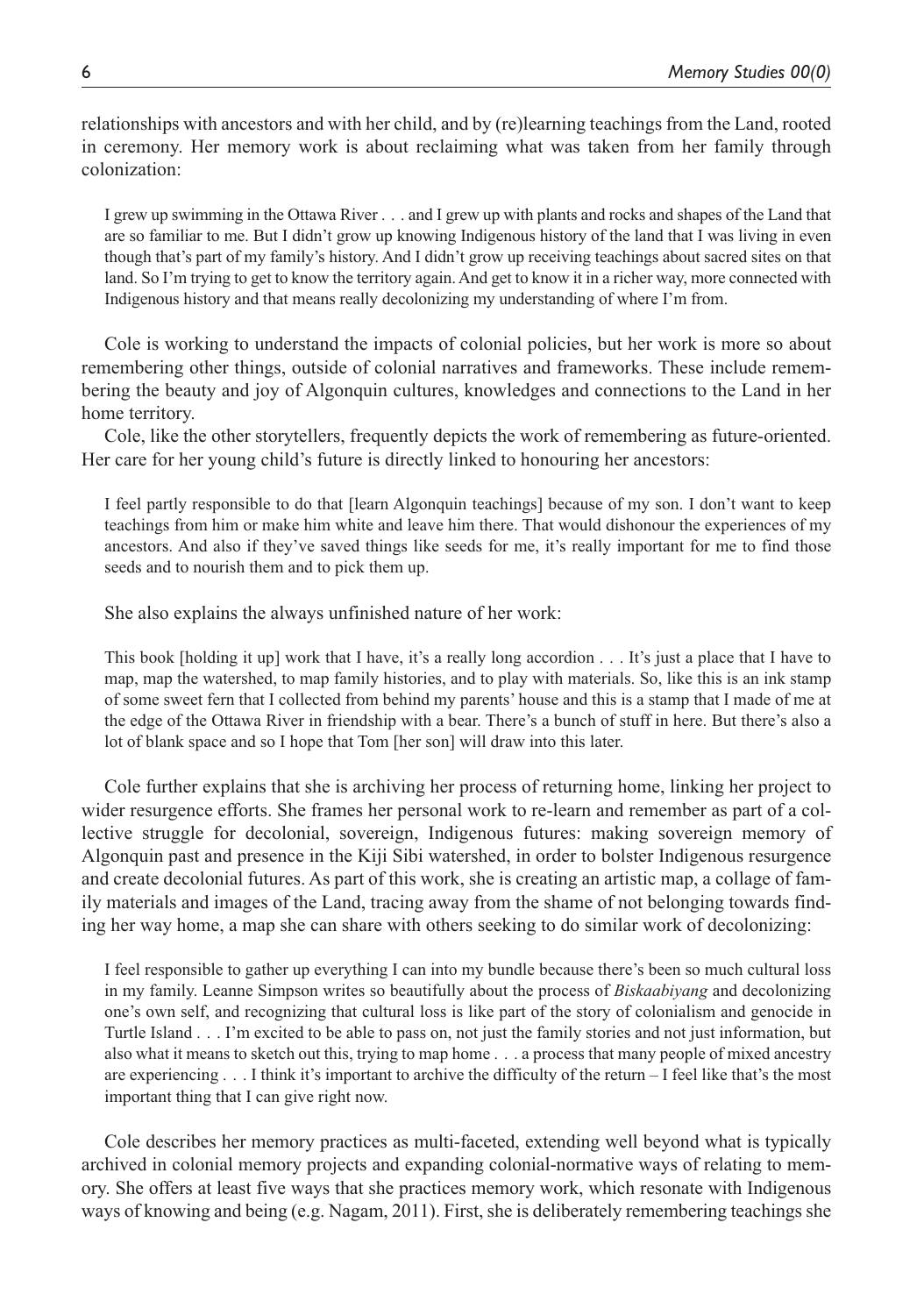relationships with ancestors and with her child, and by (re)learning teachings from the Land, rooted in ceremony. Her memory work is about reclaiming what was taken from her family through colonization:

I grew up swimming in the Ottawa River . . . and I grew up with plants and rocks and shapes of the Land that are so familiar to me. But I didn't grow up knowing Indigenous history of the land that I was living in even though that's part of my family's history. And I didn't grow up receiving teachings about sacred sites on that land. So I'm trying to get to know the territory again. And get to know it in a richer way, more connected with Indigenous history and that means really decolonizing my understanding of where I'm from.

Cole is working to understand the impacts of colonial policies, but her work is more so about remembering other things, outside of colonial narratives and frameworks. These include remembering the beauty and joy of Algonquin cultures, knowledges and connections to the Land in her home territory.

Cole, like the other storytellers, frequently depicts the work of remembering as future-oriented. Her care for her young child's future is directly linked to honouring her ancestors:

I feel partly responsible to do that [learn Algonquin teachings] because of my son. I don't want to keep teachings from him or make him white and leave him there. That would dishonour the experiences of my ancestors. And also if they've saved things like seeds for me, it's really important for me to find those seeds and to nourish them and to pick them up.

She also explains the always unfinished nature of her work:

This book [holding it up] work that I have, it's a really long accordion . . . It's just a place that I have to map, map the watershed, to map family histories, and to play with materials. So, like this is an ink stamp of some sweet fern that I collected from behind my parents' house and this is a stamp that I made of me at the edge of the Ottawa River in friendship with a bear. There's a bunch of stuff in here. But there's also a lot of blank space and so I hope that Tom [her son] will draw into this later.

Cole further explains that she is archiving her process of returning home, linking her project to wider resurgence efforts. She frames her personal work to re-learn and remember as part of a collective struggle for decolonial, sovereign, Indigenous futures: making sovereign memory of Algonquin past and presence in the Kiji Sibi watershed, in order to bolster Indigenous resurgence and create decolonial futures. As part of this work, she is creating an artistic map, a collage of family materials and images of the Land, tracing away from the shame of not belonging towards finding her way home, a map she can share with others seeking to do similar work of decolonizing:

I feel responsible to gather up everything I can into my bundle because there's been so much cultural loss in my family. Leanne Simpson writes so beautifully about the process of *Biskaabiyang* and decolonizing one's own self, and recognizing that cultural loss is like part of the story of colonialism and genocide in Turtle Island . . . I'm excited to be able to pass on, not just the family stories and not just information, but also what it means to sketch out this, trying to map home . . . a process that many people of mixed ancestry are experiencing . . . I think it's important to archive the difficulty of the return – I feel like that's the most important thing that I can give right now.

Cole describes her memory practices as multi-faceted, extending well beyond what is typically archived in colonial memory projects and expanding colonial-normative ways of relating to memory. She offers at least five ways that she practices memory work, which resonate with Indigenous ways of knowing and being (e.g. Nagam, 2011). First, she is deliberately remembering teachings she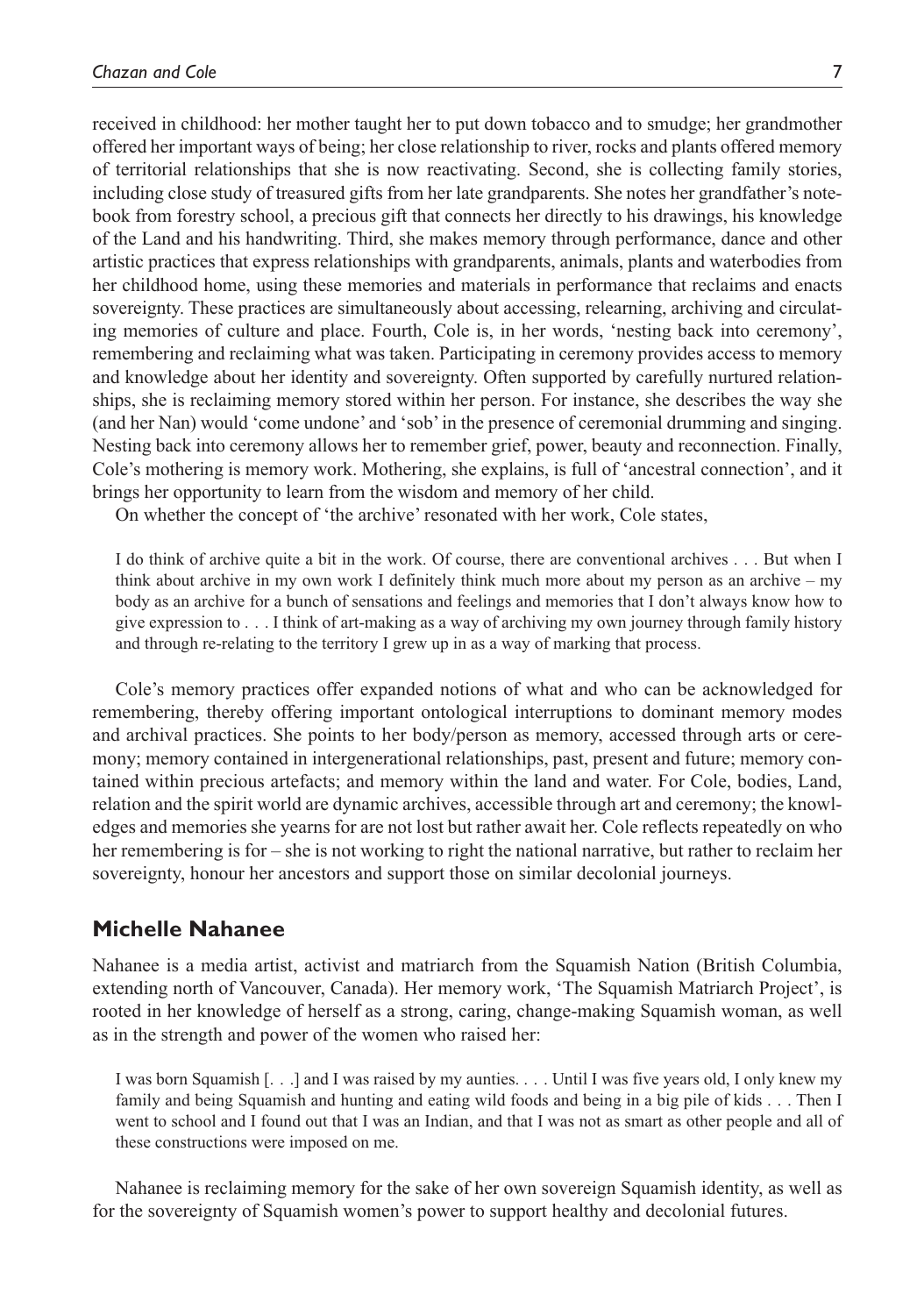received in childhood: her mother taught her to put down tobacco and to smudge; her grandmother offered her important ways of being; her close relationship to river, rocks and plants offered memory of territorial relationships that she is now reactivating. Second, she is collecting family stories, including close study of treasured gifts from her late grandparents. She notes her grandfather's notebook from forestry school, a precious gift that connects her directly to his drawings, his knowledge of the Land and his handwriting. Third, she makes memory through performance, dance and other artistic practices that express relationships with grandparents, animals, plants and waterbodies from her childhood home, using these memories and materials in performance that reclaims and enacts sovereignty. These practices are simultaneously about accessing, relearning, archiving and circulating memories of culture and place. Fourth, Cole is, in her words, 'nesting back into ceremony', remembering and reclaiming what was taken. Participating in ceremony provides access to memory and knowledge about her identity and sovereignty. Often supported by carefully nurtured relationships, she is reclaiming memory stored within her person. For instance, she describes the way she (and her Nan) would 'come undone' and 'sob' in the presence of ceremonial drumming and singing. Nesting back into ceremony allows her to remember grief, power, beauty and reconnection. Finally, Cole's mothering is memory work. Mothering, she explains, is full of 'ancestral connection', and it brings her opportunity to learn from the wisdom and memory of her child.

On whether the concept of 'the archive' resonated with her work, Cole states,

I do think of archive quite a bit in the work. Of course, there are conventional archives . . . But when I think about archive in my own work I definitely think much more about my person as an archive – my body as an archive for a bunch of sensations and feelings and memories that I don't always know how to give expression to . . . I think of art-making as a way of archiving my own journey through family history and through re-relating to the territory I grew up in as a way of marking that process.

Cole's memory practices offer expanded notions of what and who can be acknowledged for remembering, thereby offering important ontological interruptions to dominant memory modes and archival practices. She points to her body/person as memory, accessed through arts or ceremony; memory contained in intergenerational relationships, past, present and future; memory contained within precious artefacts; and memory within the land and water. For Cole, bodies, Land, relation and the spirit world are dynamic archives, accessible through art and ceremony; the knowledges and memories she yearns for are not lost but rather await her. Cole reflects repeatedly on who her remembering is for – she is not working to right the national narrative, but rather to reclaim her sovereignty, honour her ancestors and support those on similar decolonial journeys.

#### **Michelle Nahanee**

Nahanee is a media artist, activist and matriarch from the Squamish Nation (British Columbia, extending north of Vancouver, Canada). Her memory work, 'The Squamish Matriarch Project', is rooted in her knowledge of herself as a strong, caring, change-making Squamish woman, as well as in the strength and power of the women who raised her:

I was born Squamish [. . .] and I was raised by my aunties. . . . Until I was five years old, I only knew my family and being Squamish and hunting and eating wild foods and being in a big pile of kids . . . Then I went to school and I found out that I was an Indian, and that I was not as smart as other people and all of these constructions were imposed on me.

Nahanee is reclaiming memory for the sake of her own sovereign Squamish identity, as well as for the sovereignty of Squamish women's power to support healthy and decolonial futures.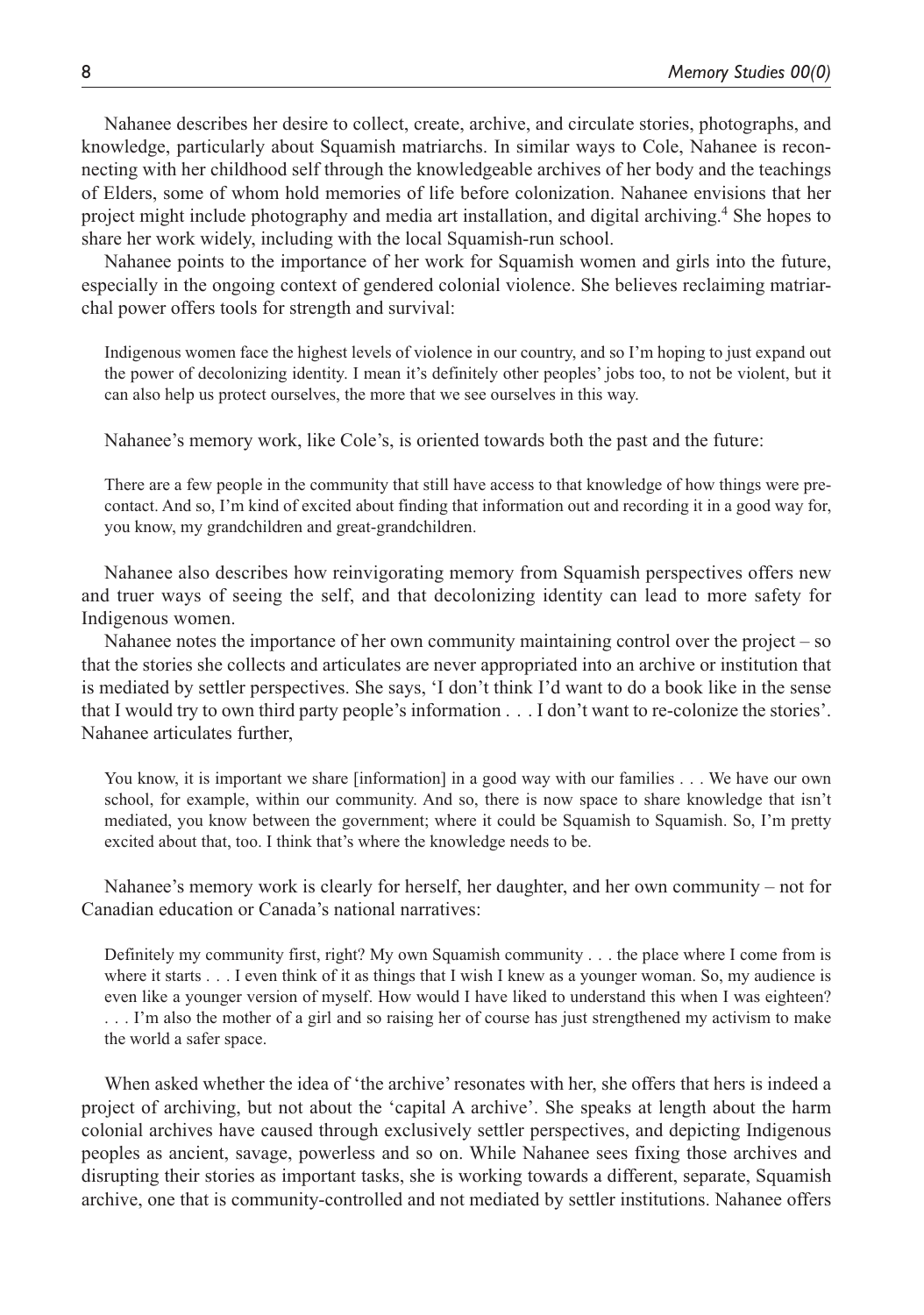Nahanee describes her desire to collect, create, archive, and circulate stories, photographs, and knowledge, particularly about Squamish matriarchs. In similar ways to Cole, Nahanee is reconnecting with her childhood self through the knowledgeable archives of her body and the teachings of Elders, some of whom hold memories of life before colonization. Nahanee envisions that her project might include photography and media art installation, and digital archiving.<sup>4</sup> She hopes to share her work widely, including with the local Squamish-run school.

Nahanee points to the importance of her work for Squamish women and girls into the future, especially in the ongoing context of gendered colonial violence. She believes reclaiming matriarchal power offers tools for strength and survival:

Indigenous women face the highest levels of violence in our country, and so I'm hoping to just expand out the power of decolonizing identity. I mean it's definitely other peoples' jobs too, to not be violent, but it can also help us protect ourselves, the more that we see ourselves in this way.

Nahanee's memory work, like Cole's, is oriented towards both the past and the future:

There are a few people in the community that still have access to that knowledge of how things were precontact. And so, I'm kind of excited about finding that information out and recording it in a good way for, you know, my grandchildren and great-grandchildren.

Nahanee also describes how reinvigorating memory from Squamish perspectives offers new and truer ways of seeing the self, and that decolonizing identity can lead to more safety for Indigenous women.

Nahanee notes the importance of her own community maintaining control over the project  $-$  so that the stories she collects and articulates are never appropriated into an archive or institution that is mediated by settler perspectives. She says, 'I don't think I'd want to do a book like in the sense that I would try to own third party people's information . . . I don't want to re-colonize the stories'. Nahanee articulates further,

You know, it is important we share [information] in a good way with our families . . . We have our own school, for example, within our community. And so, there is now space to share knowledge that isn't mediated, you know between the government; where it could be Squamish to Squamish. So, I'm pretty excited about that, too. I think that's where the knowledge needs to be.

Nahanee's memory work is clearly for herself, her daughter, and her own community – not for Canadian education or Canada's national narratives:

Definitely my community first, right? My own Squamish community . . . the place where I come from is where it starts . . . I even think of it as things that I wish I knew as a younger woman. So, my audience is even like a younger version of myself. How would I have liked to understand this when I was eighteen? . . . I'm also the mother of a girl and so raising her of course has just strengthened my activism to make the world a safer space.

When asked whether the idea of 'the archive' resonates with her, she offers that hers is indeed a project of archiving, but not about the 'capital A archive'. She speaks at length about the harm colonial archives have caused through exclusively settler perspectives, and depicting Indigenous peoples as ancient, savage, powerless and so on. While Nahanee sees fixing those archives and disrupting their stories as important tasks, she is working towards a different, separate, Squamish archive, one that is community-controlled and not mediated by settler institutions. Nahanee offers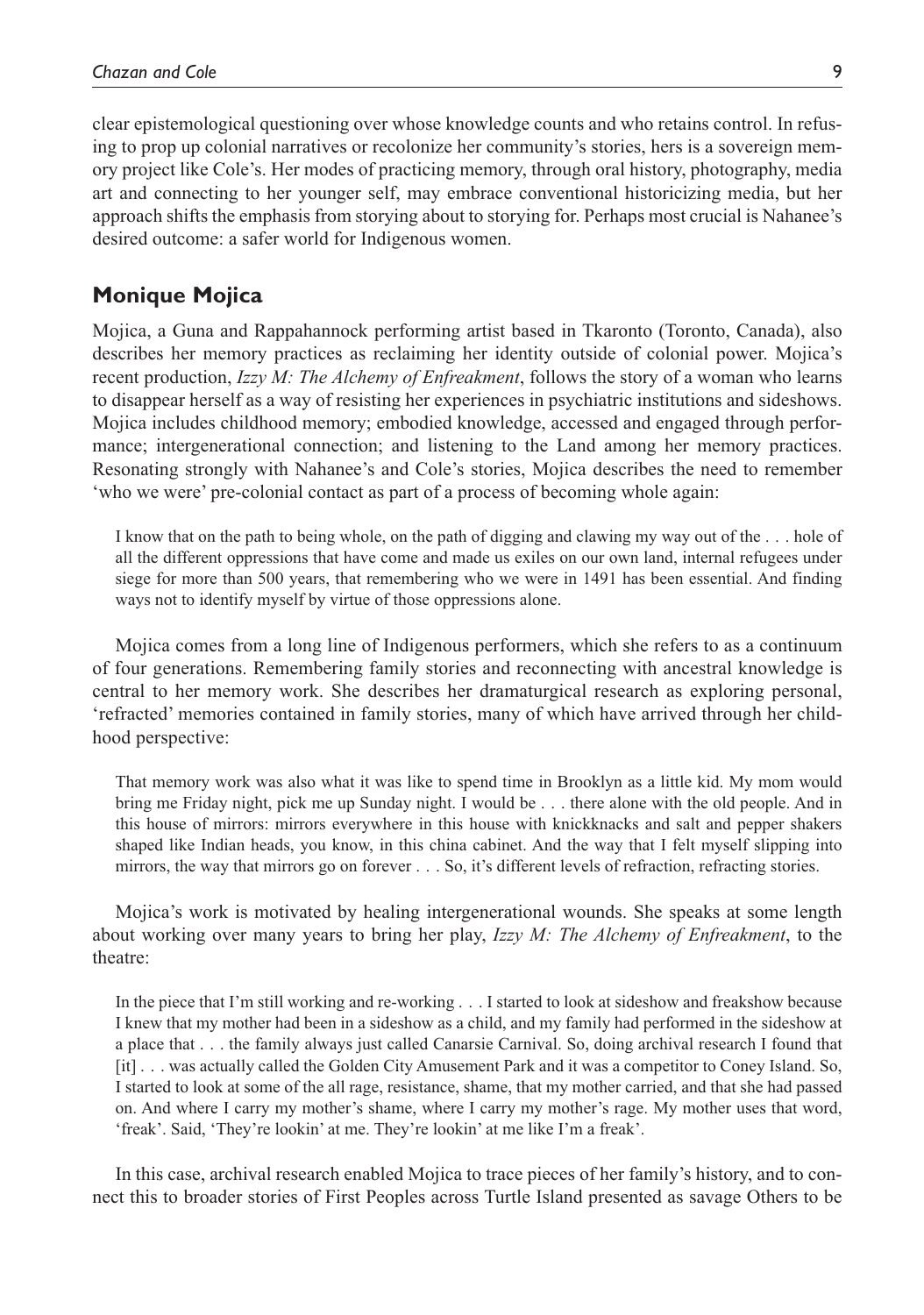clear epistemological questioning over whose knowledge counts and who retains control. In refusing to prop up colonial narratives or recolonize her community's stories, hers is a sovereign memory project like Cole's. Her modes of practicing memory, through oral history, photography, media art and connecting to her younger self, may embrace conventional historicizing media, but her approach shifts the emphasis from storying about to storying for. Perhaps most crucial is Nahanee's desired outcome: a safer world for Indigenous women.

### **Monique Mojica**

Mojica, a Guna and Rappahannock performing artist based in Tkaronto (Toronto, Canada), also describes her memory practices as reclaiming her identity outside of colonial power. Mojica's recent production, *Izzy M: The Alchemy of Enfreakment*, follows the story of a woman who learns to disappear herself as a way of resisting her experiences in psychiatric institutions and sideshows. Mojica includes childhood memory; embodied knowledge, accessed and engaged through performance; intergenerational connection; and listening to the Land among her memory practices. Resonating strongly with Nahanee's and Cole's stories, Mojica describes the need to remember 'who we were' pre-colonial contact as part of a process of becoming whole again:

I know that on the path to being whole, on the path of digging and clawing my way out of the . . . hole of all the different oppressions that have come and made us exiles on our own land, internal refugees under siege for more than 500 years, that remembering who we were in 1491 has been essential. And finding ways not to identify myself by virtue of those oppressions alone.

Mojica comes from a long line of Indigenous performers, which she refers to as a continuum of four generations. Remembering family stories and reconnecting with ancestral knowledge is central to her memory work. She describes her dramaturgical research as exploring personal, 'refracted' memories contained in family stories, many of which have arrived through her childhood perspective:

That memory work was also what it was like to spend time in Brooklyn as a little kid. My mom would bring me Friday night, pick me up Sunday night. I would be . . . there alone with the old people. And in this house of mirrors: mirrors everywhere in this house with knickknacks and salt and pepper shakers shaped like Indian heads, you know, in this china cabinet. And the way that I felt myself slipping into mirrors, the way that mirrors go on forever . . . So, it's different levels of refraction, refracting stories.

Mojica's work is motivated by healing intergenerational wounds. She speaks at some length about working over many years to bring her play, *Izzy M: The Alchemy of Enfreakment*, to the theatre:

In the piece that I'm still working and re-working . . . I started to look at sideshow and freakshow because I knew that my mother had been in a sideshow as a child, and my family had performed in the sideshow at a place that . . . the family always just called Canarsie Carnival. So, doing archival research I found that [it] . . . was actually called the Golden City Amusement Park and it was a competitor to Coney Island. So, I started to look at some of the all rage, resistance, shame, that my mother carried, and that she had passed on. And where I carry my mother's shame, where I carry my mother's rage. My mother uses that word, 'freak'. Said, 'They're lookin' at me. They're lookin' at me like I'm a freak'.

In this case, archival research enabled Mojica to trace pieces of her family's history, and to connect this to broader stories of First Peoples across Turtle Island presented as savage Others to be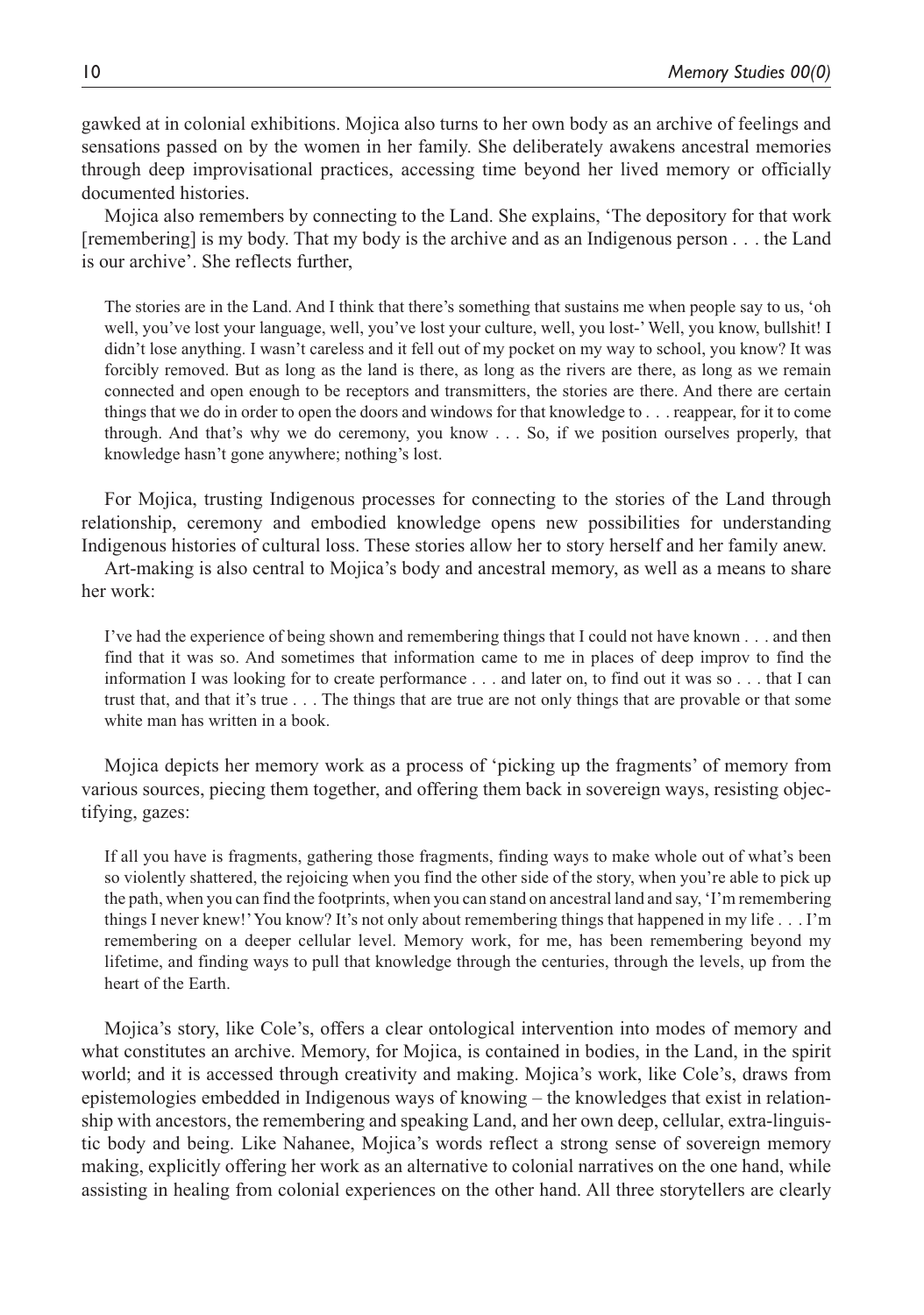gawked at in colonial exhibitions. Mojica also turns to her own body as an archive of feelings and sensations passed on by the women in her family. She deliberately awakens ancestral memories through deep improvisational practices, accessing time beyond her lived memory or officially documented histories.

Mojica also remembers by connecting to the Land. She explains, 'The depository for that work [remembering] is my body. That my body is the archive and as an Indigenous person . . . the Land is our archive'. She reflects further,

The stories are in the Land. And I think that there's something that sustains me when people say to us, 'oh well, you've lost your language, well, you've lost your culture, well, you lost-' Well, you know, bullshit! I didn't lose anything. I wasn't careless and it fell out of my pocket on my way to school, you know? It was forcibly removed. But as long as the land is there, as long as the rivers are there, as long as we remain connected and open enough to be receptors and transmitters, the stories are there. And there are certain things that we do in order to open the doors and windows for that knowledge to . . . reappear, for it to come through. And that's why we do ceremony, you know . . . So, if we position ourselves properly, that knowledge hasn't gone anywhere; nothing's lost.

For Mojica, trusting Indigenous processes for connecting to the stories of the Land through relationship, ceremony and embodied knowledge opens new possibilities for understanding Indigenous histories of cultural loss. These stories allow her to story herself and her family anew.

Art-making is also central to Mojica's body and ancestral memory, as well as a means to share her work:

I've had the experience of being shown and remembering things that I could not have known . . . and then find that it was so. And sometimes that information came to me in places of deep improv to find the information I was looking for to create performance . . . and later on, to find out it was so . . . that I can trust that, and that it's true . . . The things that are true are not only things that are provable or that some white man has written in a book.

Mojica depicts her memory work as a process of 'picking up the fragments' of memory from various sources, piecing them together, and offering them back in sovereign ways, resisting objectifying, gazes:

If all you have is fragments, gathering those fragments, finding ways to make whole out of what's been so violently shattered, the rejoicing when you find the other side of the story, when you're able to pick up the path, when you can find the footprints, when you can stand on ancestral land and say, 'I'm remembering things I never knew!' You know? It's not only about remembering things that happened in my life . . . I'm remembering on a deeper cellular level. Memory work, for me, has been remembering beyond my lifetime, and finding ways to pull that knowledge through the centuries, through the levels, up from the heart of the Earth.

Mojica's story, like Cole's, offers a clear ontological intervention into modes of memory and what constitutes an archive. Memory, for Mojica, is contained in bodies, in the Land, in the spirit world; and it is accessed through creativity and making. Mojica's work, like Cole's, draws from epistemologies embedded in Indigenous ways of knowing – the knowledges that exist in relationship with ancestors, the remembering and speaking Land, and her own deep, cellular, extra-linguistic body and being. Like Nahanee, Mojica's words reflect a strong sense of sovereign memory making, explicitly offering her work as an alternative to colonial narratives on the one hand, while assisting in healing from colonial experiences on the other hand. All three storytellers are clearly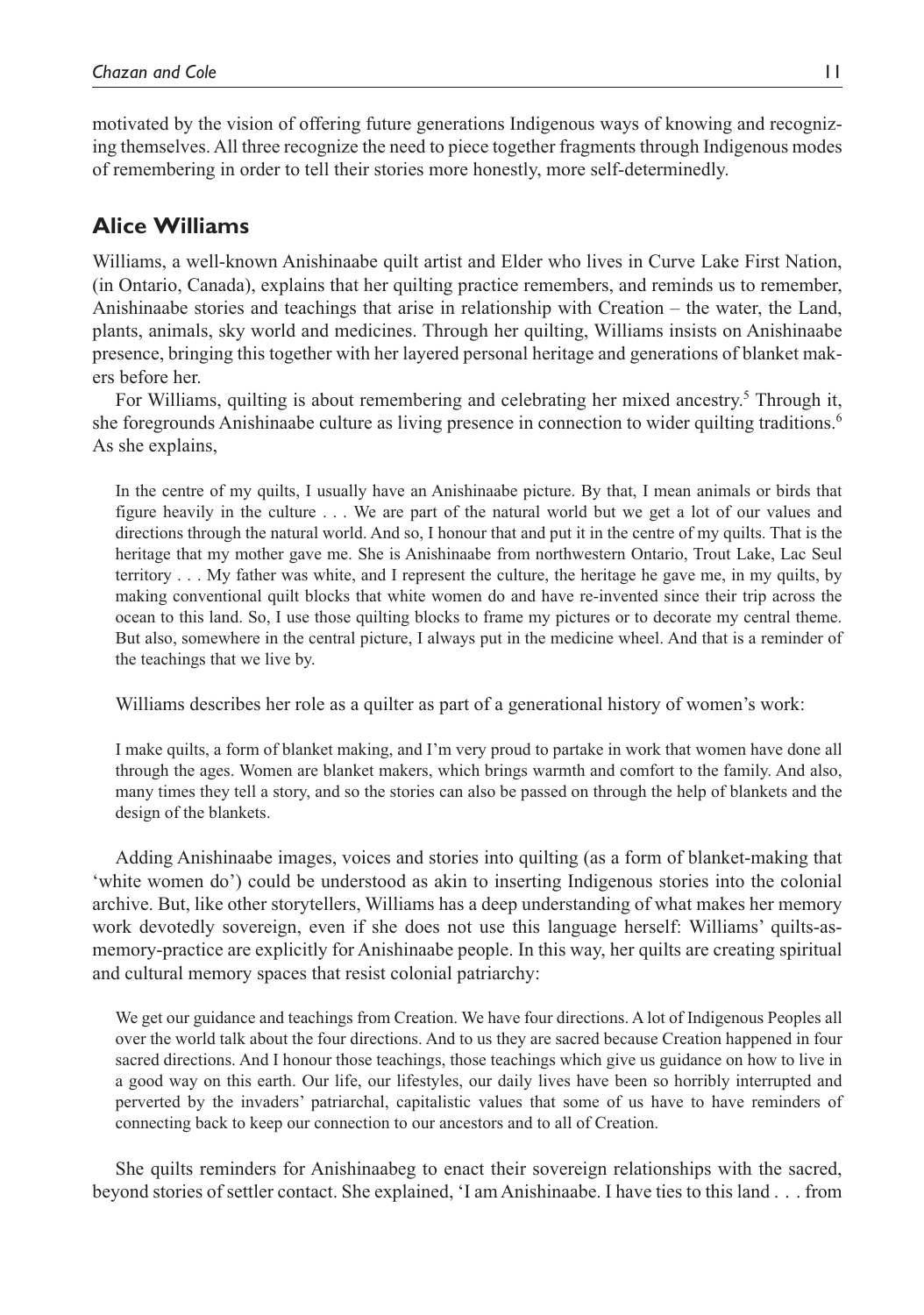motivated by the vision of offering future generations Indigenous ways of knowing and recognizing themselves. All three recognize the need to piece together fragments through Indigenous modes of remembering in order to tell their stories more honestly, more self-determinedly.

# **Alice Williams**

Williams, a well-known Anishinaabe quilt artist and Elder who lives in Curve Lake First Nation, (in Ontario, Canada), explains that her quilting practice remembers, and reminds us to remember, Anishinaabe stories and teachings that arise in relationship with Creation – the water, the Land, plants, animals, sky world and medicines. Through her quilting, Williams insists on Anishinaabe presence, bringing this together with her layered personal heritage and generations of blanket makers before her.

For Williams, quilting is about remembering and celebrating her mixed ancestry.<sup>5</sup> Through it, she foregrounds Anishinaabe culture as living presence in connection to wider quilting traditions.<sup>6</sup> As she explains,

In the centre of my quilts, I usually have an Anishinaabe picture. By that, I mean animals or birds that figure heavily in the culture . . . We are part of the natural world but we get a lot of our values and directions through the natural world. And so, I honour that and put it in the centre of my quilts. That is the heritage that my mother gave me. She is Anishinaabe from northwestern Ontario, Trout Lake, Lac Seul territory . . . My father was white, and I represent the culture, the heritage he gave me, in my quilts, by making conventional quilt blocks that white women do and have re-invented since their trip across the ocean to this land. So, I use those quilting blocks to frame my pictures or to decorate my central theme. But also, somewhere in the central picture, I always put in the medicine wheel. And that is a reminder of the teachings that we live by.

Williams describes her role as a quilter as part of a generational history of women's work:

I make quilts, a form of blanket making, and I'm very proud to partake in work that women have done all through the ages. Women are blanket makers, which brings warmth and comfort to the family. And also, many times they tell a story, and so the stories can also be passed on through the help of blankets and the design of the blankets.

Adding Anishinaabe images, voices and stories into quilting (as a form of blanket-making that 'white women do') could be understood as akin to inserting Indigenous stories into the colonial archive. But, like other storytellers, Williams has a deep understanding of what makes her memory work devotedly sovereign, even if she does not use this language herself: Williams' quilts-asmemory-practice are explicitly for Anishinaabe people. In this way, her quilts are creating spiritual and cultural memory spaces that resist colonial patriarchy:

We get our guidance and teachings from Creation. We have four directions. A lot of Indigenous Peoples all over the world talk about the four directions. And to us they are sacred because Creation happened in four sacred directions. And I honour those teachings, those teachings which give us guidance on how to live in a good way on this earth. Our life, our lifestyles, our daily lives have been so horribly interrupted and perverted by the invaders' patriarchal, capitalistic values that some of us have to have reminders of connecting back to keep our connection to our ancestors and to all of Creation.

She quilts reminders for Anishinaabeg to enact their sovereign relationships with the sacred, beyond stories of settler contact. She explained, 'I am Anishinaabe. I have ties to this land . . . from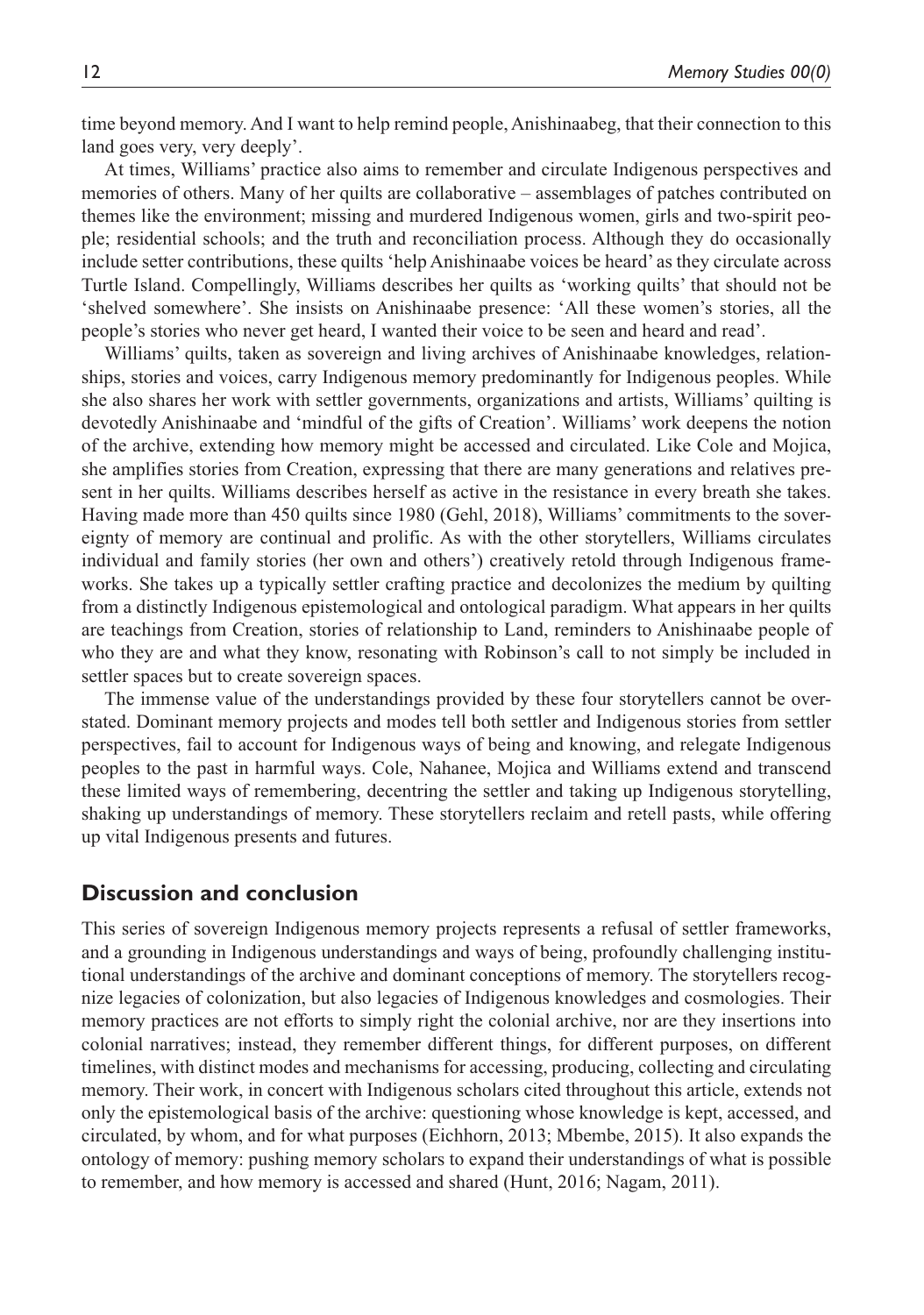time beyond memory. And I want to help remind people, Anishinaabeg, that their connection to this land goes very, very deeply'.

At times, Williams' practice also aims to remember and circulate Indigenous perspectives and memories of others. Many of her quilts are collaborative – assemblages of patches contributed on themes like the environment; missing and murdered Indigenous women, girls and two-spirit people; residential schools; and the truth and reconciliation process. Although they do occasionally include setter contributions, these quilts 'help Anishinaabe voices be heard' as they circulate across Turtle Island. Compellingly, Williams describes her quilts as 'working quilts' that should not be 'shelved somewhere'. She insists on Anishinaabe presence: 'All these women's stories, all the people's stories who never get heard, I wanted their voice to be seen and heard and read'.

Williams' quilts, taken as sovereign and living archives of Anishinaabe knowledges, relationships, stories and voices, carry Indigenous memory predominantly for Indigenous peoples. While she also shares her work with settler governments, organizations and artists, Williams' quilting is devotedly Anishinaabe and 'mindful of the gifts of Creation'. Williams' work deepens the notion of the archive, extending how memory might be accessed and circulated. Like Cole and Mojica, she amplifies stories from Creation, expressing that there are many generations and relatives present in her quilts. Williams describes herself as active in the resistance in every breath she takes. Having made more than 450 quilts since 1980 (Gehl, 2018), Williams' commitments to the sovereignty of memory are continual and prolific. As with the other storytellers, Williams circulates individual and family stories (her own and others') creatively retold through Indigenous frameworks. She takes up a typically settler crafting practice and decolonizes the medium by quilting from a distinctly Indigenous epistemological and ontological paradigm. What appears in her quilts are teachings from Creation, stories of relationship to Land, reminders to Anishinaabe people of who they are and what they know, resonating with Robinson's call to not simply be included in settler spaces but to create sovereign spaces.

The immense value of the understandings provided by these four storytellers cannot be overstated. Dominant memory projects and modes tell both settler and Indigenous stories from settler perspectives, fail to account for Indigenous ways of being and knowing, and relegate Indigenous peoples to the past in harmful ways. Cole, Nahanee, Mojica and Williams extend and transcend these limited ways of remembering, decentring the settler and taking up Indigenous storytelling, shaking up understandings of memory. These storytellers reclaim and retell pasts, while offering up vital Indigenous presents and futures.

#### **Discussion and conclusion**

This series of sovereign Indigenous memory projects represents a refusal of settler frameworks, and a grounding in Indigenous understandings and ways of being, profoundly challenging institutional understandings of the archive and dominant conceptions of memory. The storytellers recognize legacies of colonization, but also legacies of Indigenous knowledges and cosmologies. Their memory practices are not efforts to simply right the colonial archive, nor are they insertions into colonial narratives; instead, they remember different things, for different purposes, on different timelines, with distinct modes and mechanisms for accessing, producing, collecting and circulating memory. Their work, in concert with Indigenous scholars cited throughout this article, extends not only the epistemological basis of the archive: questioning whose knowledge is kept, accessed, and circulated, by whom, and for what purposes (Eichhorn, 2013; Mbembe, 2015). It also expands the ontology of memory: pushing memory scholars to expand their understandings of what is possible to remember, and how memory is accessed and shared (Hunt, 2016; Nagam, 2011).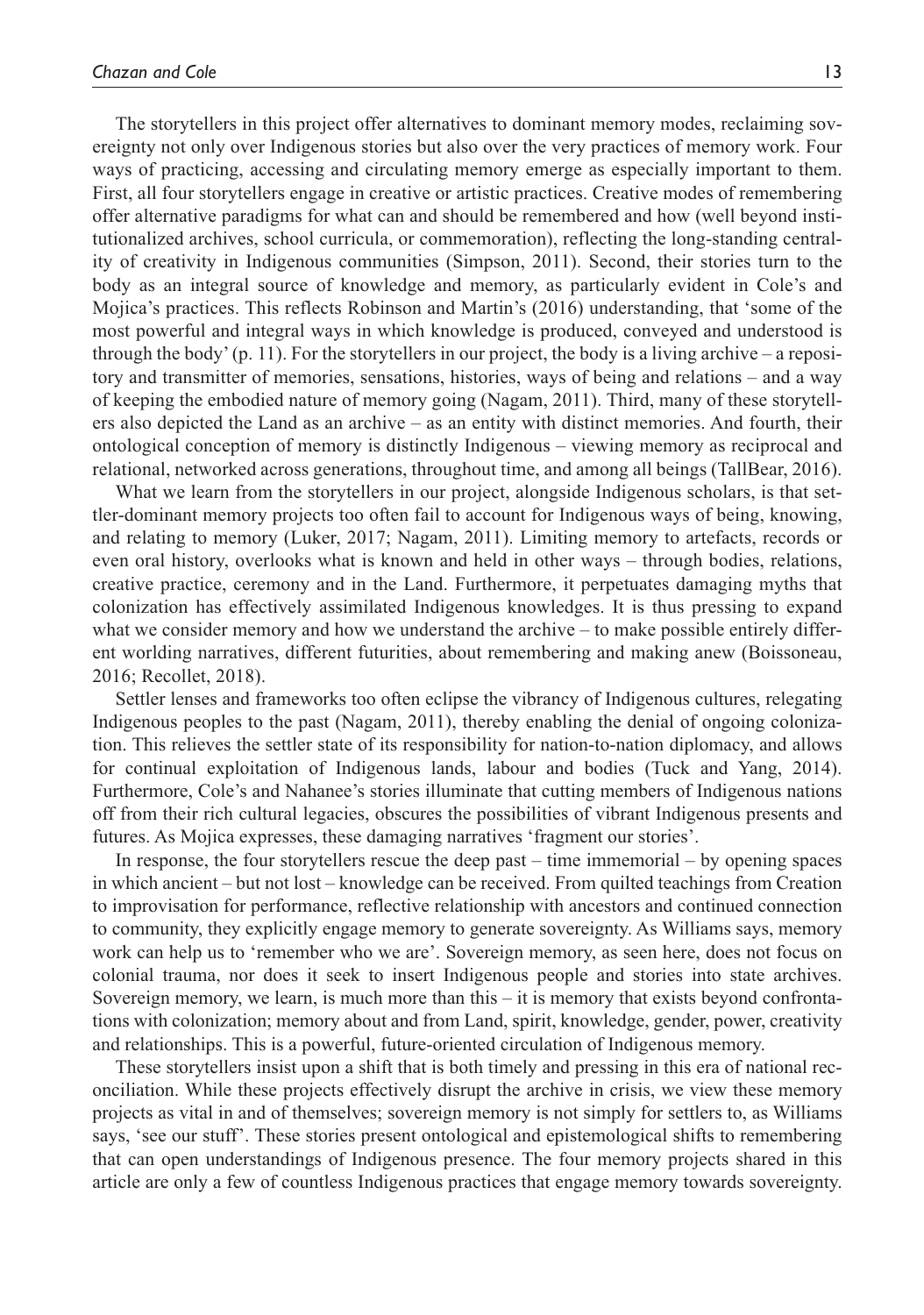The storytellers in this project offer alternatives to dominant memory modes, reclaiming sovereignty not only over Indigenous stories but also over the very practices of memory work. Four ways of practicing, accessing and circulating memory emerge as especially important to them. First, all four storytellers engage in creative or artistic practices. Creative modes of remembering offer alternative paradigms for what can and should be remembered and how (well beyond institutionalized archives, school curricula, or commemoration), reflecting the long-standing centrality of creativity in Indigenous communities (Simpson, 2011). Second, their stories turn to the body as an integral source of knowledge and memory, as particularly evident in Cole's and Mojica's practices. This reflects Robinson and Martin's (2016) understanding, that 'some of the most powerful and integral ways in which knowledge is produced, conveyed and understood is through the body' (p. 11). For the storytellers in our project, the body is a living archive – a repository and transmitter of memories, sensations, histories, ways of being and relations – and a way of keeping the embodied nature of memory going (Nagam, 2011). Third, many of these storytellers also depicted the Land as an archive – as an entity with distinct memories. And fourth, their ontological conception of memory is distinctly Indigenous – viewing memory as reciprocal and relational, networked across generations, throughout time, and among all beings (TallBear, 2016).

What we learn from the storytellers in our project, alongside Indigenous scholars, is that settler-dominant memory projects too often fail to account for Indigenous ways of being, knowing, and relating to memory (Luker, 2017; Nagam, 2011). Limiting memory to artefacts, records or even oral history, overlooks what is known and held in other ways – through bodies, relations, creative practice, ceremony and in the Land. Furthermore, it perpetuates damaging myths that colonization has effectively assimilated Indigenous knowledges. It is thus pressing to expand what we consider memory and how we understand the archive – to make possible entirely different worlding narratives, different futurities, about remembering and making anew (Boissoneau, 2016; Recollet, 2018).

Settler lenses and frameworks too often eclipse the vibrancy of Indigenous cultures, relegating Indigenous peoples to the past (Nagam, 2011), thereby enabling the denial of ongoing colonization. This relieves the settler state of its responsibility for nation-to-nation diplomacy, and allows for continual exploitation of Indigenous lands, labour and bodies (Tuck and Yang, 2014). Furthermore, Cole's and Nahanee's stories illuminate that cutting members of Indigenous nations off from their rich cultural legacies, obscures the possibilities of vibrant Indigenous presents and futures. As Mojica expresses, these damaging narratives 'fragment our stories'.

In response, the four storytellers rescue the deep past – time immemorial – by opening spaces in which ancient – but not lost – knowledge can be received. From quilted teachings from Creation to improvisation for performance, reflective relationship with ancestors and continued connection to community, they explicitly engage memory to generate sovereignty. As Williams says, memory work can help us to 'remember who we are'. Sovereign memory, as seen here, does not focus on colonial trauma, nor does it seek to insert Indigenous people and stories into state archives. Sovereign memory, we learn, is much more than this – it is memory that exists beyond confrontations with colonization; memory about and from Land, spirit, knowledge, gender, power, creativity and relationships. This is a powerful, future-oriented circulation of Indigenous memory.

These storytellers insist upon a shift that is both timely and pressing in this era of national reconciliation. While these projects effectively disrupt the archive in crisis, we view these memory projects as vital in and of themselves; sovereign memory is not simply for settlers to, as Williams says, 'see our stuff'. These stories present ontological and epistemological shifts to remembering that can open understandings of Indigenous presence. The four memory projects shared in this article are only a few of countless Indigenous practices that engage memory towards sovereignty.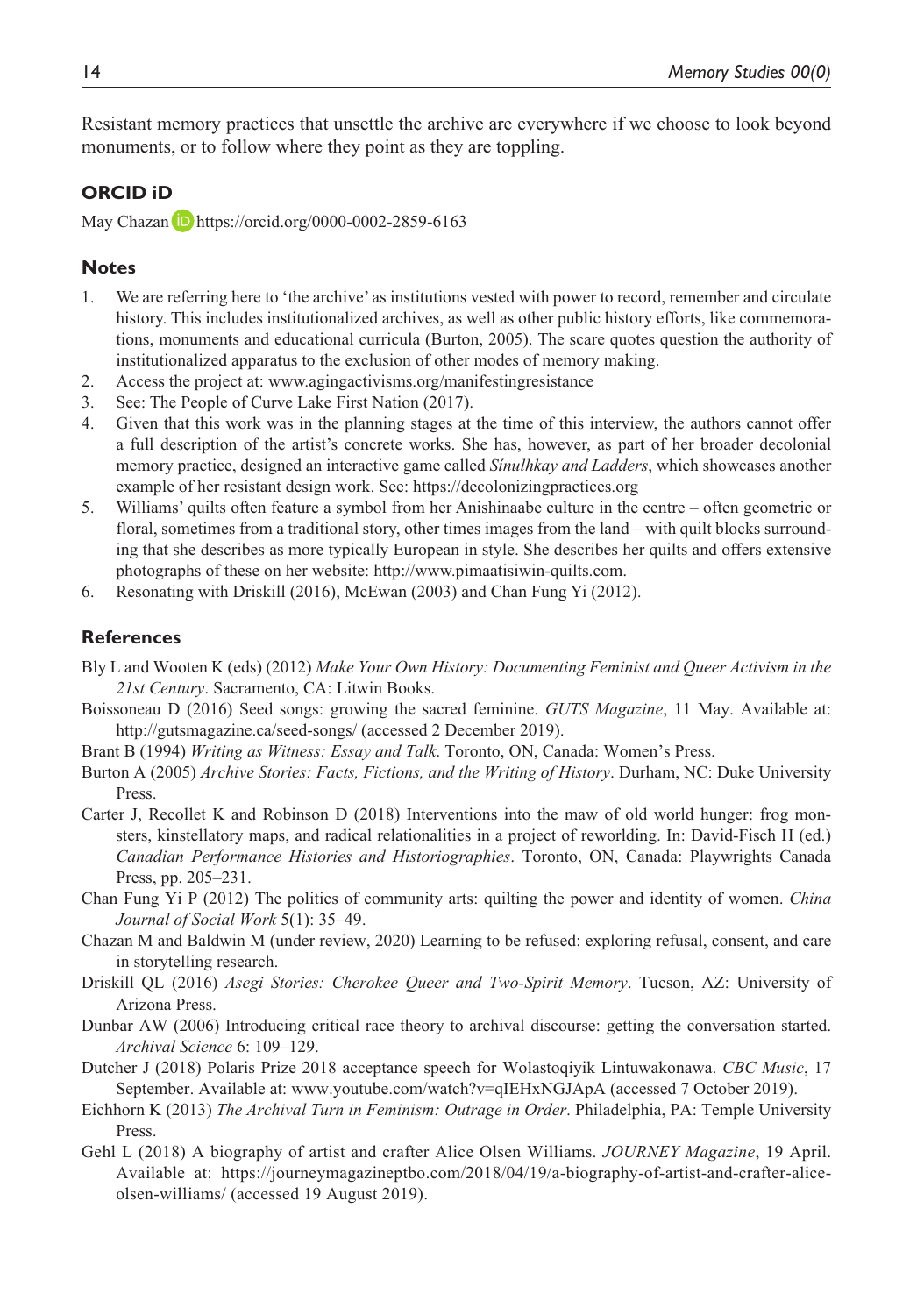Resistant memory practices that unsettle the archive are everywhere if we choose to look beyond monuments, or to follow where they point as they are toppling.

#### **ORCID iD**

May Chazan D <https://orcid.org/0000-0002-2859-6163>

#### **Notes**

- 1. We are referring here to 'the archive' as institutions vested with power to record, remember and circulate history. This includes institutionalized archives, as well as other public history efforts, like commemorations, monuments and educational curricula (Burton, 2005). The scare quotes question the authority of institutionalized apparatus to the exclusion of other modes of memory making.
- 2. Access the project at: <www.agingactivisms.org/manifestingresistance>
- 3. See: The People of Curve Lake First Nation (2017).
- 4. Given that this work was in the planning stages at the time of this interview, the authors cannot offer a full description of the artist's concrete works. She has, however, as part of her broader decolonial memory practice, designed an interactive game called *Sínulhkay and Ladders*, which showcases another example of her resistant design work. See:<https://decolonizingpractices.org>
- 5. Williams' quilts often feature a symbol from her Anishinaabe culture in the centre often geometric or floral, sometimes from a traditional story, other times images from the land – with quilt blocks surrounding that she describes as more typically European in style. She describes her quilts and offers extensive photographs of these on her website: [http://www.pimaatisiwin-quilts.com.](http://www.pimaatisiwin-quilts.com)
- 6. Resonating with Driskill (2016), McEwan (2003) and Chan Fung Yi (2012).

#### **References**

- Bly L and Wooten K (eds) (2012) *Make Your Own History: Documenting Feminist and Queer Activism in the 21st Century*. Sacramento, CA: Litwin Books.
- Boissoneau D (2016) Seed songs: growing the sacred feminine. *GUTS Magazine*, 11 May. Available at: <http://gutsmagazine.ca/seed-songs/> (accessed 2 December 2019).
- Brant B (1994) *Writing as Witness: Essay and Talk*. Toronto, ON, Canada: Women's Press.
- Burton A (2005) *Archive Stories: Facts, Fictions, and the Writing of History*. Durham, NC: Duke University Press.
- Carter J, Recollet K and Robinson D (2018) Interventions into the maw of old world hunger: frog monsters, kinstellatory maps, and radical relationalities in a project of reworlding. In: David-Fisch H (ed.) *Canadian Performance Histories and Historiographies*. Toronto, ON, Canada: Playwrights Canada Press, pp. 205–231.
- Chan Fung Yi P (2012) The politics of community arts: quilting the power and identity of women. *China Journal of Social Work* 5(1): 35–49.
- Chazan M and Baldwin M (under review, 2020) Learning to be refused: exploring refusal, consent, and care in storytelling research.
- Driskill QL (2016) *Asegi Stories: Cherokee Queer and Two-Spirit Memory*. Tucson, AZ: University of Arizona Press.
- Dunbar AW (2006) Introducing critical race theory to archival discourse: getting the conversation started. *Archival Science* 6: 109–129.
- Dutcher J (2018) Polaris Prize 2018 acceptance speech for Wolastoqiyik Lintuwakonawa. *CBC Music*, 17 September. Available at:<www.youtube.com/watch?v=qIEHxNGJApA> (accessed 7 October 2019).
- Eichhorn K (2013) *The Archival Turn in Feminism: Outrage in Order*. Philadelphia, PA: Temple University Press.
- Gehl L (2018) A biography of artist and crafter Alice Olsen Williams. *JOURNEY Magazine*, 19 April. Available at: [https://journeymagazineptbo.com/2018/04/19/a-biography-of-artist-and-crafter-alice](https://journeymagazineptbo.com/2018/04/19/a-biography-of-artist-and-crafter-alice-olsen-williams/)[olsen-williams/](https://journeymagazineptbo.com/2018/04/19/a-biography-of-artist-and-crafter-alice-olsen-williams/) (accessed 19 August 2019).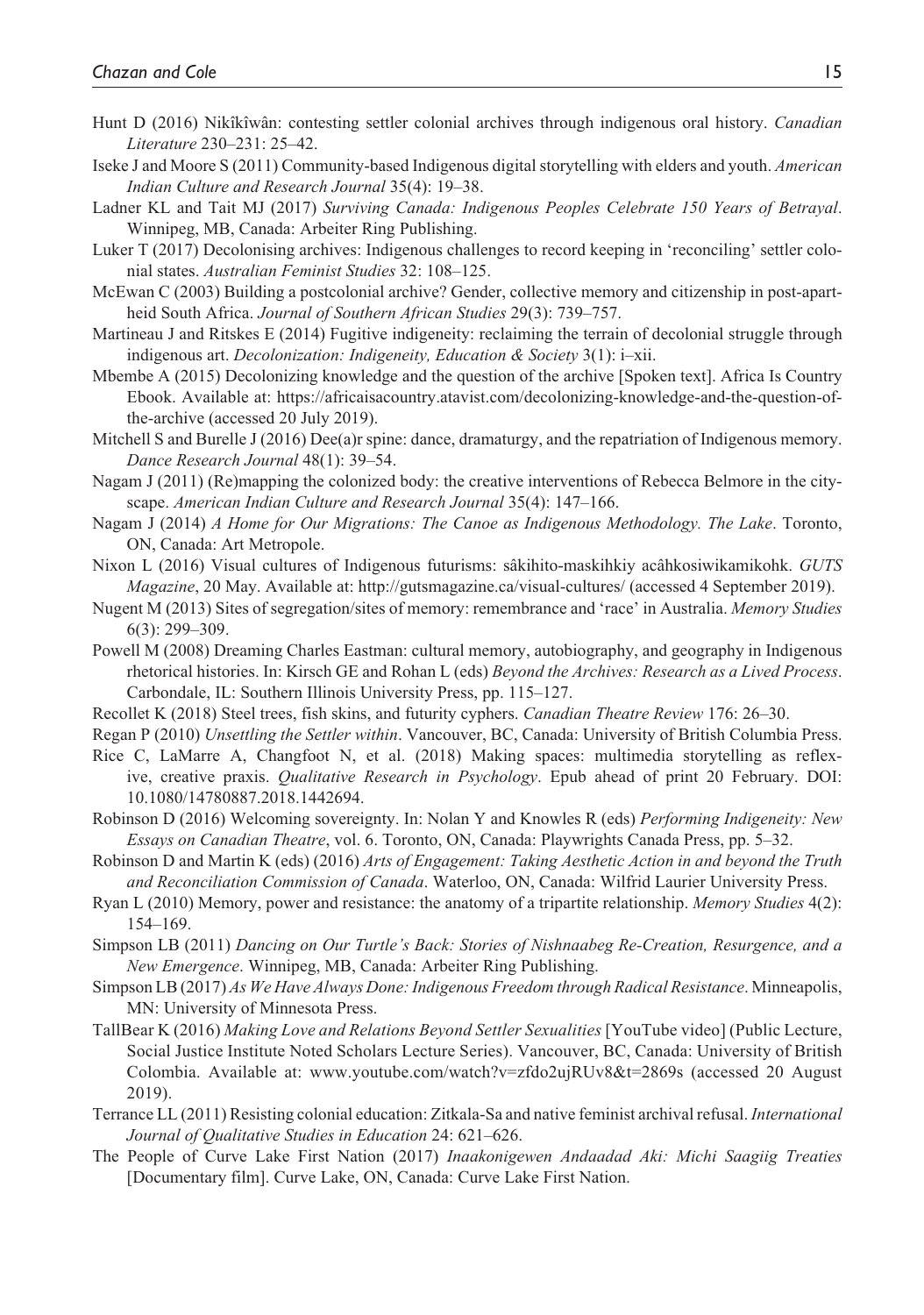- Hunt D (2016) Nikîkîwân: contesting settler colonial archives through indigenous oral history. *Canadian Literature* 230–231: 25–42.
- Iseke J and Moore S (2011) Community-based Indigenous digital storytelling with elders and youth. *American Indian Culture and Research Journal* 35(4): 19–38.
- Ladner KL and Tait MJ (2017) *Surviving Canada: Indigenous Peoples Celebrate 150 Years of Betrayal*. Winnipeg, MB, Canada: Arbeiter Ring Publishing.
- Luker T (2017) Decolonising archives: Indigenous challenges to record keeping in 'reconciling' settler colonial states. *Australian Feminist Studies* 32: 108–125.
- McEwan C (2003) Building a postcolonial archive? Gender, collective memory and citizenship in post-apartheid South Africa. *Journal of Southern African Studies* 29(3): 739–757.
- Martineau J and Ritskes E (2014) Fugitive indigeneity: reclaiming the terrain of decolonial struggle through indigenous art. *Decolonization: Indigeneity, Education & Society* 3(1): i–xii.
- Mbembe A (2015) Decolonizing knowledge and the question of the archive [Spoken text]. Africa Is Country Ebook. Available at: [https://africaisacountry.atavist.com/decolonizing-knowledge-and-the-question-of](https://africaisacountry.atavist.com/decolonizing-knowledge-and-the-question-of-the-archive)[the-archive](https://africaisacountry.atavist.com/decolonizing-knowledge-and-the-question-of-the-archive) (accessed 20 July 2019).
- Mitchell S and Burelle J (2016) Dee(a)r spine: dance, dramaturgy, and the repatriation of Indigenous memory. *Dance Research Journal* 48(1): 39–54.
- Nagam J (2011) (Re)mapping the colonized body: the creative interventions of Rebecca Belmore in the cityscape. *American Indian Culture and Research Journal* 35(4): 147–166.
- Nagam J (2014) *A Home for Our Migrations: The Canoe as Indigenous Methodology. The Lake*. Toronto, ON, Canada: Art Metropole.
- Nixon L (2016) Visual cultures of Indigenous futurisms: sâkihito-maskihkiy acâhkosiwikamikohk. *GUTS Magazine*, 20 May. Available at: <http://gutsmagazine.ca/visual-cultures/> (accessed 4 September 2019).
- Nugent M (2013) Sites of segregation/sites of memory: remembrance and 'race' in Australia. *Memory Studies* 6(3): 299–309.
- Powell M (2008) Dreaming Charles Eastman: cultural memory, autobiography, and geography in Indigenous rhetorical histories. In: Kirsch GE and Rohan L (eds) *Beyond the Archives: Research as a Lived Process*. Carbondale, IL: Southern Illinois University Press, pp. 115–127.
- Recollet K (2018) Steel trees, fish skins, and futurity cyphers. *Canadian Theatre Review* 176: 26–30.
- Regan P (2010) *Unsettling the Settler within*. Vancouver, BC, Canada: University of British Columbia Press.
- Rice C, LaMarre A, Changfoot N, et al. (2018) Making spaces: multimedia storytelling as reflexive, creative praxis. *Qualitative Research in Psychology*. Epub ahead of print 20 February. DOI: 10.1080/14780887.2018.1442694.
- Robinson D (2016) Welcoming sovereignty. In: Nolan Y and Knowles R (eds) *Performing Indigeneity: New Essays on Canadian Theatre*, vol. 6. Toronto, ON, Canada: Playwrights Canada Press, pp. 5–32.
- Robinson D and Martin K (eds) (2016) *Arts of Engagement: Taking Aesthetic Action in and beyond the Truth and Reconciliation Commission of Canada*. Waterloo, ON, Canada: Wilfrid Laurier University Press.
- Ryan L (2010) Memory, power and resistance: the anatomy of a tripartite relationship. *Memory Studies* 4(2): 154–169.
- Simpson LB (2011) *Dancing on Our Turtle's Back: Stories of Nishnaabeg Re-Creation, Resurgence, and a New Emergence*. Winnipeg, MB, Canada: Arbeiter Ring Publishing.
- Simpson LB (2017) *As We Have Always Done: Indigenous Freedom through Radical Resistance*. Minneapolis, MN: University of Minnesota Press.
- TallBear K (2016) *Making Love and Relations Beyond Settler Sexualities* [YouTube video] (Public Lecture, Social Justice Institute Noted Scholars Lecture Series). Vancouver, BC, Canada: University of British Colombia. Available at: <www.youtube.com/watch?v=zfdo2ujRUv8&t=2869s>(accessed 20 August 2019).
- Terrance LL (2011) Resisting colonial education: Zitkala-Sa and native feminist archival refusal. *International Journal of Qualitative Studies in Education* 24: 621–626.
- The People of Curve Lake First Nation (2017) *Inaakonigewen Andaadad Aki: Michi Saagiig Treaties* [Documentary film]. Curve Lake, ON, Canada: Curve Lake First Nation.